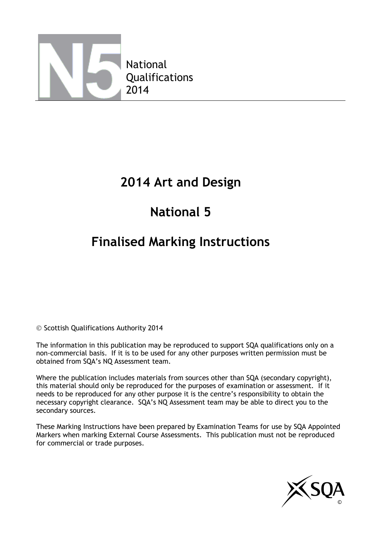

## **2014 Art and Design**

# **National 5**

## **Finalised Marking Instructions**

© Scottish Qualifications Authority 2014

The information in this publication may be reproduced to support SQA qualifications only on a non-commercial basis. If it is to be used for any other purposes written permission must be obtained from SQA's NQ Assessment team.

Where the publication includes materials from sources other than SQA (secondary copyright), this material should only be reproduced for the purposes of examination or assessment. If it needs to be reproduced for any other purpose it is the centre's responsibility to obtain the necessary copyright clearance. SQA's NQ Assessment team may be able to direct you to the secondary sources.

These Marking Instructions have been prepared by Examination Teams for use by SQA Appointed Markers when marking External Course Assessments. This publication must not be reproduced for commercial or trade purposes.

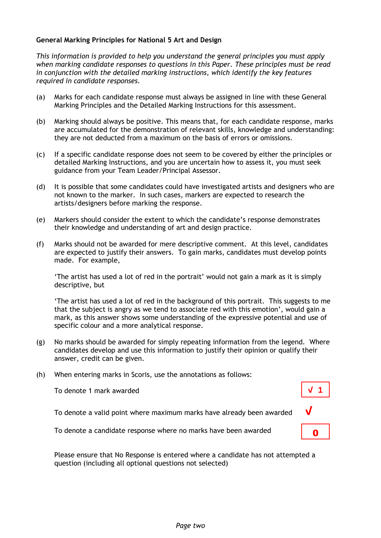#### **General Marking Principles for National 5 Art and Design**

*This information is provided to help you understand the general principles you must apply when marking candidate responses to questions in this Paper. These principles must be read in conjunction with the detailed marking instructions, which identify the key features required in candidate responses.*

- (a) Marks for each candidate response must always be assigned in line with these General Marking Principles and the Detailed Marking Instructions for this assessment.
- (b) Marking should always be positive. This means that, for each candidate response, marks are accumulated for the demonstration of relevant skills, knowledge and understanding: they are not deducted from a maximum on the basis of errors or omissions.
- (c) If a specific candidate response does not seem to be covered by either the principles or detailed Marking Instructions, and you are uncertain how to assess it, you must seek guidance from your Team Leader/Principal Assessor.
- (d) It is possible that some candidates could have investigated artists and designers who are not known to the marker. In such cases, markers are expected to research the artists/designers before marking the response.
- (e) Markers should consider the extent to which the candidate's response demonstrates their knowledge and understanding of art and design practice.
- (f) Marks should not be awarded for mere descriptive comment. At this level, candidates are expected to justify their answers. To gain marks, candidates must develop points made. For example,

'The artist has used a lot of red in the portrait' would not gain a mark as it is simply descriptive, but

'The artist has used a lot of red in the background of this portrait. This suggests to me that the subject is angry as we tend to associate red with this emotion', would gain a mark, as this answer shows some understanding of the expressive potential and use of specific colour and a more analytical response.

**√ 1**

0

- (g) No marks should be awarded for simply repeating information from the legend. Where candidates develop and use this information to justify their opinion or qualify their answer, credit can be given.
- (h) When entering marks in Scoris, use the annotations as follows:

To denote 1 mark awarded

To denote a valid point where maximum marks have already been awarded **√**

To denote a candidate response where no marks have been awarded

Please ensure that No Response is entered where a candidate has not attempted a question (including all optional questions not selected)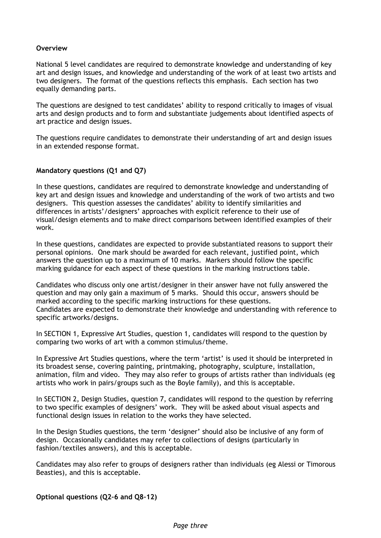#### **Overview**

National 5 level candidates are required to demonstrate knowledge and understanding of key art and design issues, and knowledge and understanding of the work of at least two artists and two designers. The format of the questions reflects this emphasis. Each section has two equally demanding parts.

The questions are designed to test candidates' ability to respond critically to images of visual arts and design products and to form and substantiate judgements about identified aspects of art practice and design issues.

The questions require candidates to demonstrate their understanding of art and design issues in an extended response format.

#### **Mandatory questions (Q1 and Q7)**

In these questions, candidates are required to demonstrate knowledge and understanding of key art and design issues and knowledge and understanding of the work of two artists and two designers. This question assesses the candidates' ability to identify similarities and differences in artists'/designers' approaches with explicit reference to their use of visual/design elements and to make direct comparisons between identified examples of their work.

In these questions, candidates are expected to provide substantiated reasons to support their personal opinions. One mark should be awarded for each relevant, justified point, which answers the question up to a maximum of 10 marks. Markers should follow the specific marking guidance for each aspect of these questions in the marking instructions table.

Candidates who discuss only one artist/designer in their answer have not fully answered the question and may only gain a maximum of 5 marks. Should this occur, answers should be marked according to the specific marking instructions for these questions. Candidates are expected to demonstrate their knowledge and understanding with reference to specific artworks/designs.

In SECTION 1, Expressive Art Studies, question 1, candidates will respond to the question by comparing two works of art with a common stimulus/theme.

In Expressive Art Studies questions, where the term 'artist' is used it should be interpreted in its broadest sense, covering painting, printmaking, photography, sculpture, installation, animation, film and video. They may also refer to groups of artists rather than individuals (eg artists who work in pairs/groups such as the Boyle family), and this is acceptable.

In SECTION 2, Design Studies, question 7, candidates will respond to the question by referring to two specific examples of designers' work. They will be asked about visual aspects and functional design issues in relation to the works they have selected.

In the Design Studies questions, the term 'designer' should also be inclusive of any form of design. Occasionally candidates may refer to collections of designs (particularly in fashion/textiles answers), and this is acceptable.

Candidates may also refer to groups of designers rather than individuals (eg Alessi or Timorous Beasties), and this is acceptable.

**Optional questions (Q2–6 and Q8–12)**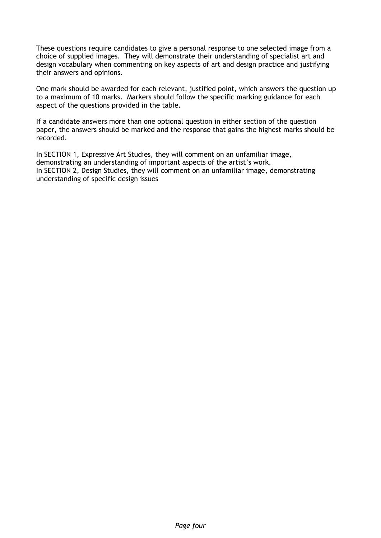These questions require candidates to give a personal response to one selected image from a choice of supplied images. They will demonstrate their understanding of specialist art and design vocabulary when commenting on key aspects of art and design practice and justifying their answers and opinions.

One mark should be awarded for each relevant, justified point, which answers the question up to a maximum of 10 marks. Markers should follow the specific marking guidance for each aspect of the questions provided in the table.

If a candidate answers more than one optional question in either section of the question paper, the answers should be marked and the response that gains the highest marks should be recorded.

In SECTION 1, Expressive Art Studies, they will comment on an unfamiliar image, demonstrating an understanding of important aspects of the artist's work. In SECTION 2, Design Studies, they will comment on an unfamiliar image, demonstrating understanding of specific design issues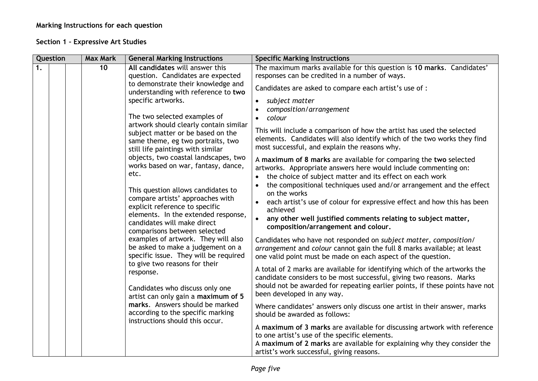### **Marking Instructions for each question**

### **Section 1 – Expressive Art Studies**

| Question |                                                                                     |                                                                                                 | <b>Max Mark</b>                                                                                                                                                                                     | <b>General Marking Instructions</b>                                                                                                                                                                                                | <b>Specific Marking Instructions</b>                                                                                                                                                             |
|----------|-------------------------------------------------------------------------------------|-------------------------------------------------------------------------------------------------|-----------------------------------------------------------------------------------------------------------------------------------------------------------------------------------------------------|------------------------------------------------------------------------------------------------------------------------------------------------------------------------------------------------------------------------------------|--------------------------------------------------------------------------------------------------------------------------------------------------------------------------------------------------|
| 1.       |                                                                                     |                                                                                                 | 10                                                                                                                                                                                                  | All candidates will answer this<br>question. Candidates are expected                                                                                                                                                               | The maximum marks available for this question is 10 marks. Candidates'<br>responses can be credited in a number of ways.                                                                         |
|          |                                                                                     | to demonstrate their knowledge and<br>understanding with reference to two<br>specific artworks. | Candidates are asked to compare each artist's use of :                                                                                                                                              |                                                                                                                                                                                                                                    |                                                                                                                                                                                                  |
|          |                                                                                     |                                                                                                 |                                                                                                                                                                                                     | $\bullet$<br>subject matter<br>composition/arrangement                                                                                                                                                                             |                                                                                                                                                                                                  |
|          |                                                                                     |                                                                                                 |                                                                                                                                                                                                     | The two selected examples of                                                                                                                                                                                                       | • colour                                                                                                                                                                                         |
|          | artwork should clearly contain similar<br>still life paintings with similar<br>etc. | subject matter or be based on the<br>same theme, eg two portraits, two                          | This will include a comparison of how the artist has used the selected<br>elements. Candidates will also identify which of the two works they find<br>most successful, and explain the reasons why. |                                                                                                                                                                                                                                    |                                                                                                                                                                                                  |
|          |                                                                                     |                                                                                                 |                                                                                                                                                                                                     | objects, two coastal landscapes, two<br>works based on war, fantasy, dance,                                                                                                                                                        | A maximum of 8 marks are available for comparing the two selected<br>artworks. Appropriate answers here would include commenting on:<br>the choice of subject matter and its effect on each work |
|          |                                                                                     |                                                                                                 |                                                                                                                                                                                                     | This question allows candidates to                                                                                                                                                                                                 | the compositional techniques used and/or arrangement and the effect<br>on the works                                                                                                              |
|          |                                                                                     |                                                                                                 |                                                                                                                                                                                                     | compare artists' approaches with<br>explicit reference to specific                                                                                                                                                                 | each artist's use of colour for expressive effect and how this has been<br>achieved                                                                                                              |
|          |                                                                                     |                                                                                                 |                                                                                                                                                                                                     | elements. In the extended response,<br>candidates will make direct<br>comparisons between selected                                                                                                                                 | $\bullet$<br>any other well justified comments relating to subject matter,<br>composition/arrangement and colour.                                                                                |
|          |                                                                                     |                                                                                                 | examples of artwork. They will also<br>be asked to make a judgement on a<br>specific issue. They will be required<br>to give two reasons for their<br>response.                                     | Candidates who have not responded on subject matter, composition/<br>arrangement and colour cannot gain the full 8 marks available; at least<br>one valid point must be made on each aspect of the question.                       |                                                                                                                                                                                                  |
|          |                                                                                     |                                                                                                 |                                                                                                                                                                                                     | A total of 2 marks are available for identifying which of the artworks the<br>candidate considers to be most successful, giving two reasons. Marks<br>should not be awarded for repeating earlier points, if these points have not |                                                                                                                                                                                                  |
|          |                                                                                     |                                                                                                 |                                                                                                                                                                                                     | Candidates who discuss only one<br>artist can only gain a maximum of 5<br>marks. Answers should be marked<br>according to the specific marking<br>instructions should this occur.                                                  | been developed in any way.                                                                                                                                                                       |
|          |                                                                                     |                                                                                                 |                                                                                                                                                                                                     |                                                                                                                                                                                                                                    | Where candidates' answers only discuss one artist in their answer, marks<br>should be awarded as follows:                                                                                        |
|          |                                                                                     |                                                                                                 |                                                                                                                                                                                                     |                                                                                                                                                                                                                                    | A maximum of 3 marks are available for discussing artwork with reference<br>to one artist's use of the specific elements.                                                                        |
|          |                                                                                     |                                                                                                 |                                                                                                                                                                                                     |                                                                                                                                                                                                                                    | A maximum of 2 marks are available for explaining why they consider the<br>artist's work successful, giving reasons.                                                                             |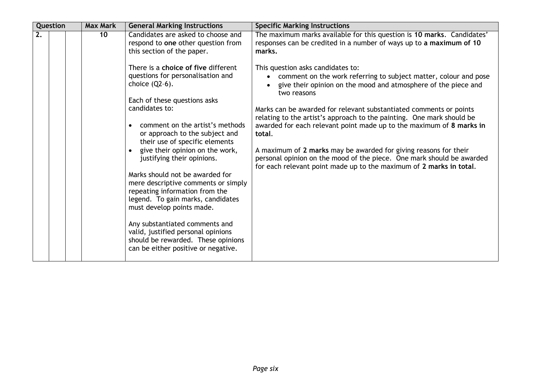| Question | <b>Max Mark</b> | <b>General Marking Instructions</b>                                                                                                                                        | <b>Specific Marking Instructions</b>                                                                                                                                                                                          |
|----------|-----------------|----------------------------------------------------------------------------------------------------------------------------------------------------------------------------|-------------------------------------------------------------------------------------------------------------------------------------------------------------------------------------------------------------------------------|
| 2.       | 10              | Candidates are asked to choose and<br>respond to one other question from<br>this section of the paper.                                                                     | The maximum marks available for this question is 10 marks. Candidates'<br>responses can be credited in a number of ways up to a maximum of 10<br>marks.                                                                       |
|          |                 | There is a choice of five different<br>questions for personalisation and<br>choice $(Q2-6)$ .<br>Each of these questions asks                                              | This question asks candidates to:<br>comment on the work referring to subject matter, colour and pose<br>give their opinion on the mood and atmosphere of the piece and<br>two reasons                                        |
|          |                 | candidates to:<br>comment on the artist's methods<br>$\bullet$<br>or approach to the subject and<br>their use of specific elements                                         | Marks can be awarded for relevant substantiated comments or points<br>relating to the artist's approach to the painting. One mark should be<br>awarded for each relevant point made up to the maximum of 8 marks in<br>total. |
|          |                 | • give their opinion on the work,<br>justifying their opinions.                                                                                                            | A maximum of 2 marks may be awarded for giving reasons for their<br>personal opinion on the mood of the piece. One mark should be awarded<br>for each relevant point made up to the maximum of 2 marks in total.              |
|          |                 | Marks should not be awarded for<br>mere descriptive comments or simply<br>repeating information from the<br>legend. To gain marks, candidates<br>must develop points made. |                                                                                                                                                                                                                               |
|          |                 | Any substantiated comments and<br>valid, justified personal opinions<br>should be rewarded. These opinions<br>can be either positive or negative.                          |                                                                                                                                                                                                                               |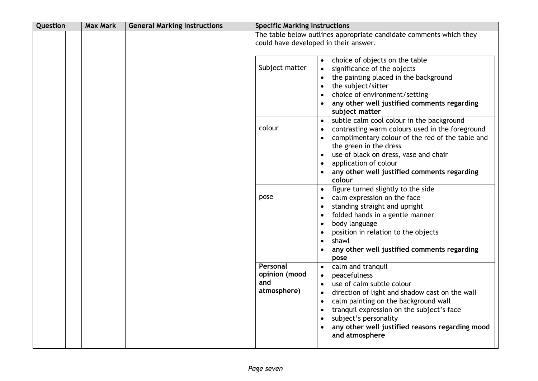| Question | <b>Max Mark</b> | <b>General Marking Instructions</b> | <b>Specific Marking Instructions</b>            |                                                                                                                                                                                                                                                                                                                                                                                        |
|----------|-----------------|-------------------------------------|-------------------------------------------------|----------------------------------------------------------------------------------------------------------------------------------------------------------------------------------------------------------------------------------------------------------------------------------------------------------------------------------------------------------------------------------------|
|          |                 |                                     | could have developed in their answer.           | The table below outlines appropriate candidate comments which they                                                                                                                                                                                                                                                                                                                     |
|          |                 |                                     | Subject matter                                  | choice of objects on the table<br>$\bullet$<br>significance of the objects<br>$\bullet$<br>the painting placed in the background<br>$\bullet$<br>the subject/sitter<br>$\bullet$<br>choice of environment/setting<br>$\bullet$<br>any other well justified comments regarding                                                                                                          |
|          |                 |                                     | colour                                          | subject matter<br>subtle calm cool colour in the background<br>$\bullet$<br>contrasting warm colours used in the foreground<br>complimentary colour of the red of the table and<br>$\bullet$<br>the green in the dress<br>use of black on dress, vase and chair<br>$\bullet$<br>application of colour<br>$\bullet$<br>any other well justified comments regarding<br>colour            |
|          |                 |                                     | pose                                            | figure turned slightly to the side<br>$\bullet$<br>calm expression on the face<br>$\bullet$<br>standing straight and upright<br>$\bullet$<br>folded hands in a gentle manner<br>$\bullet$<br>body language<br>$\bullet$<br>position in relation to the objects<br>$\bullet$<br>shawl<br>$\bullet$<br>any other well justified comments regarding<br>pose                               |
|          |                 |                                     | Personal<br>opinion (mood<br>and<br>atmosphere) | calm and tranquil<br>$\bullet$<br>peacefulness<br>$\bullet$<br>use of calm subtle colour<br>$\bullet$<br>direction of light and shadow cast on the wall<br>٠<br>calm painting on the background wall<br>$\bullet$<br>tranquil expression on the subject's face<br>$\bullet$<br>subject's personality<br>$\bullet$<br>any other well justified reasons regarding mood<br>and atmosphere |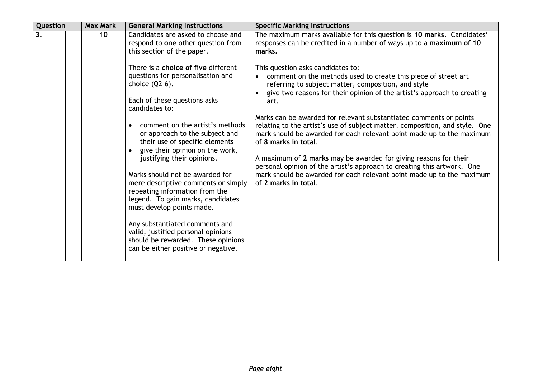| Question | <b>Max Mark</b> | <b>General Marking Instructions</b>                                                                                                                                                                                                                                                                                                                                                                                                 | <b>Specific Marking Instructions</b>                                                                                                                                                                                                                                                                                                                                                                                                                                                                                                                                                                                                                                                                                                            |
|----------|-----------------|-------------------------------------------------------------------------------------------------------------------------------------------------------------------------------------------------------------------------------------------------------------------------------------------------------------------------------------------------------------------------------------------------------------------------------------|-------------------------------------------------------------------------------------------------------------------------------------------------------------------------------------------------------------------------------------------------------------------------------------------------------------------------------------------------------------------------------------------------------------------------------------------------------------------------------------------------------------------------------------------------------------------------------------------------------------------------------------------------------------------------------------------------------------------------------------------------|
| 3.       | 10              | Candidates are asked to choose and<br>respond to one other question from<br>this section of the paper.<br>There is a choice of five different<br>questions for personalisation and<br>choice $(Q2-6)$ .<br>Each of these questions asks<br>candidates to:<br>comment on the artist's methods<br>or approach to the subject and<br>their use of specific elements<br>• give their opinion on the work,<br>justifying their opinions. | The maximum marks available for this question is 10 marks. Candidates'<br>responses can be credited in a number of ways up to a maximum of 10<br>marks.<br>This question asks candidates to:<br>comment on the methods used to create this piece of street art<br>$\bullet$<br>referring to subject matter, composition, and style<br>give two reasons for their opinion of the artist's approach to creating<br>art.<br>Marks can be awarded for relevant substantiated comments or points<br>relating to the artist's use of subject matter, composition, and style. One<br>mark should be awarded for each relevant point made up to the maximum<br>of 8 marks in total.<br>A maximum of 2 marks may be awarded for giving reasons for their |
|          |                 | Marks should not be awarded for<br>mere descriptive comments or simply<br>repeating information from the<br>legend. To gain marks, candidates<br>must develop points made.                                                                                                                                                                                                                                                          | personal opinion of the artist's approach to creating this artwork. One<br>mark should be awarded for each relevant point made up to the maximum<br>of 2 marks in total.                                                                                                                                                                                                                                                                                                                                                                                                                                                                                                                                                                        |
|          |                 | Any substantiated comments and<br>valid, justified personal opinions<br>should be rewarded. These opinions<br>can be either positive or negative.                                                                                                                                                                                                                                                                                   |                                                                                                                                                                                                                                                                                                                                                                                                                                                                                                                                                                                                                                                                                                                                                 |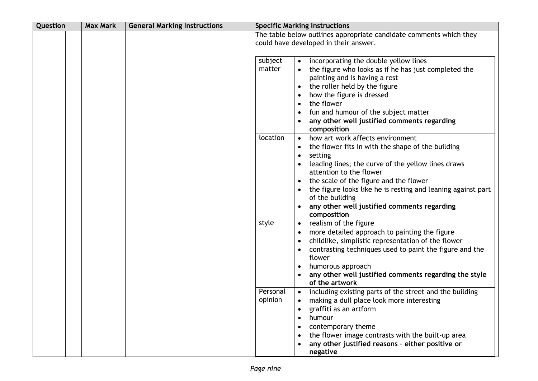| Question | <b>Max Mark</b> | <b>General Marking Instructions</b> | <b>Specific Marking Instructions</b>                                                                                                                                                                                                                                                                                                                                                               |  |  |  |
|----------|-----------------|-------------------------------------|----------------------------------------------------------------------------------------------------------------------------------------------------------------------------------------------------------------------------------------------------------------------------------------------------------------------------------------------------------------------------------------------------|--|--|--|
|          |                 |                                     | The table below outlines appropriate candidate comments which they<br>could have developed in their answer.                                                                                                                                                                                                                                                                                        |  |  |  |
|          |                 |                                     | subject<br>incorporating the double yellow lines<br>matter<br>the figure who looks as if he has just completed the<br>painting and is having a rest<br>the roller held by the figure<br>how the figure is dressed<br>the flower<br>fun and humour of the subject matter<br>any other well justified comments regarding<br>composition<br>how art work affects environment<br>location<br>$\bullet$ |  |  |  |
|          |                 |                                     | the flower fits in with the shape of the building<br>setting<br>leading lines; the curve of the yellow lines draws<br>attention to the flower<br>the scale of the figure and the flower<br>the figure looks like he is resting and leaning against part<br>of the building<br>any other well justified comments regarding<br>composition                                                           |  |  |  |
|          |                 |                                     | style<br>realism of the figure<br>$\bullet$<br>more detailed approach to painting the figure<br>childlike, simplistic representation of the flower<br>contrasting techniques used to paint the figure and the<br>flower<br>humorous approach<br>any other well justified comments regarding the style<br>of the artwork                                                                            |  |  |  |
|          |                 |                                     | Personal<br>including existing parts of the street and the building<br>opinion<br>making a dull place look more interesting<br>graffiti as an artform<br>humour<br>contemporary theme<br>the flower image contrasts with the built-up area<br>any other justified reasons - either positive or<br>negative                                                                                         |  |  |  |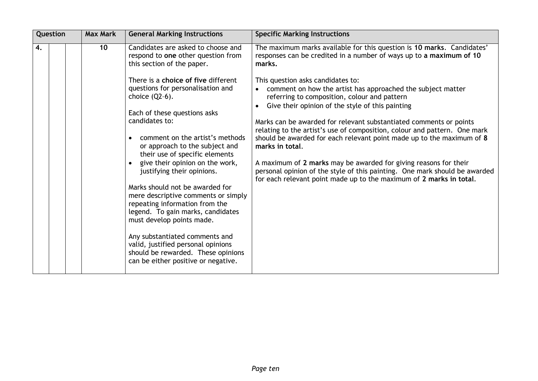| Question |  | <b>Max Mark</b> | <b>General Marking Instructions</b>                                                                                                               | <b>Specific Marking Instructions</b>                                                                                                                                                                                  |
|----------|--|-----------------|---------------------------------------------------------------------------------------------------------------------------------------------------|-----------------------------------------------------------------------------------------------------------------------------------------------------------------------------------------------------------------------|
| 4.       |  | 10              | Candidates are asked to choose and<br>respond to one other question from<br>this section of the paper.                                            | The maximum marks available for this question is 10 marks. Candidates'<br>responses can be credited in a number of ways up to a maximum of 10<br>marks.                                                               |
|          |  |                 | There is a choice of five different                                                                                                               | This question asks candidates to:                                                                                                                                                                                     |
|          |  |                 | questions for personalisation and<br>choice $(Q2-6)$ .                                                                                            | comment on how the artist has approached the subject matter<br>$\bullet$<br>referring to composition, colour and pattern                                                                                              |
|          |  |                 | Each of these questions asks                                                                                                                      | Give their opinion of the style of this painting                                                                                                                                                                      |
|          |  |                 | candidates to:                                                                                                                                    | Marks can be awarded for relevant substantiated comments or points<br>relating to the artist's use of composition, colour and pattern. One mark                                                                       |
|          |  |                 | comment on the artist's methods<br>$\bullet$<br>or approach to the subject and<br>their use of specific elements                                  | should be awarded for each relevant point made up to the maximum of 8<br>marks in total.                                                                                                                              |
|          |  |                 | give their opinion on the work,<br>justifying their opinions.                                                                                     | A maximum of 2 marks may be awarded for giving reasons for their<br>personal opinion of the style of this painting. One mark should be awarded<br>for each relevant point made up to the maximum of 2 marks in total. |
|          |  |                 | Marks should not be awarded for                                                                                                                   |                                                                                                                                                                                                                       |
|          |  |                 | mere descriptive comments or simply<br>repeating information from the<br>legend. To gain marks, candidates<br>must develop points made.           |                                                                                                                                                                                                                       |
|          |  |                 | Any substantiated comments and<br>valid, justified personal opinions<br>should be rewarded. These opinions<br>can be either positive or negative. |                                                                                                                                                                                                                       |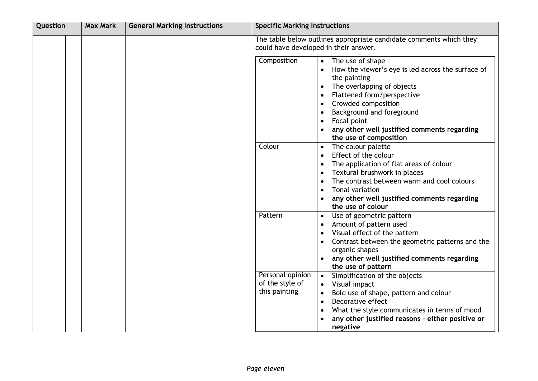| Question | <b>Max Mark</b> | <b>General Marking Instructions</b> | <b>Specific Marking Instructions</b>                                                                                                                                                                                                                                                                                                                               |  |
|----------|-----------------|-------------------------------------|--------------------------------------------------------------------------------------------------------------------------------------------------------------------------------------------------------------------------------------------------------------------------------------------------------------------------------------------------------------------|--|
|          |                 |                                     | The table below outlines appropriate candidate comments which they<br>could have developed in their answer.                                                                                                                                                                                                                                                        |  |
|          |                 |                                     | Composition<br>The use of shape<br>$\bullet$<br>How the viewer's eye is led across the surface of<br>the painting<br>The overlapping of objects<br>٠<br>Flattened form/perspective<br>٠<br>Crowded composition<br>$\bullet$<br>Background and foreground<br>٠<br>Focal point<br>$\bullet$<br>any other well justified comments regarding<br>the use of composition |  |
|          |                 |                                     | Colour<br>The colour palette<br>$\bullet$<br>Effect of the colour<br>$\bullet$<br>The application of flat areas of colour<br>$\bullet$<br>Textural brushwork in places<br>$\bullet$<br>The contrast between warm and cool colours<br>$\bullet$<br>Tonal variation<br>$\bullet$<br>any other well justified comments regarding<br>the use of colour                 |  |
|          |                 |                                     | Pattern<br>Use of geometric pattern<br>$\bullet$<br>Amount of pattern used<br>٠<br>Visual effect of the pattern<br>٠<br>Contrast between the geometric patterns and the<br>organic shapes<br>any other well justified comments regarding<br>the use of pattern                                                                                                     |  |
|          |                 |                                     | Personal opinion<br>Simplification of the objects<br>$\bullet$<br>of the style of<br>Visual impact<br>$\bullet$<br>this painting<br>Bold use of shape, pattern and colour<br>$\bullet$<br>Decorative effect<br>$\bullet$<br>What the style communicates in terms of mood<br>$\bullet$<br>any other justified reasons - either positive or<br>negative              |  |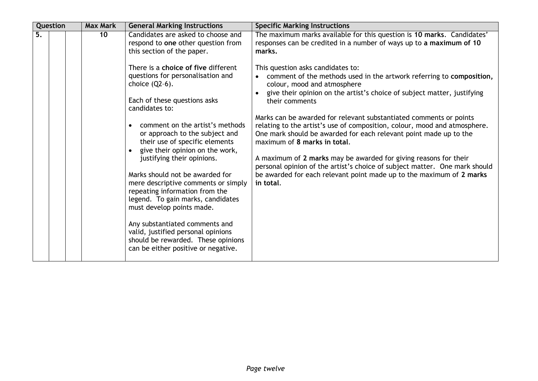|    | Question | <b>Max Mark</b> | <b>General Marking Instructions</b>                                                                                                                                                                                                                                                                                                                                                                                                                                                                                                                          | <b>Specific Marking Instructions</b>                                                                                                                                                                                                                                                                                                                                                                                                                                                                                                                                                                                                                                                                                                                                                                                                                                                            |
|----|----------|-----------------|--------------------------------------------------------------------------------------------------------------------------------------------------------------------------------------------------------------------------------------------------------------------------------------------------------------------------------------------------------------------------------------------------------------------------------------------------------------------------------------------------------------------------------------------------------------|-------------------------------------------------------------------------------------------------------------------------------------------------------------------------------------------------------------------------------------------------------------------------------------------------------------------------------------------------------------------------------------------------------------------------------------------------------------------------------------------------------------------------------------------------------------------------------------------------------------------------------------------------------------------------------------------------------------------------------------------------------------------------------------------------------------------------------------------------------------------------------------------------|
| 5. |          | 10              | Candidates are asked to choose and<br>respond to one other question from<br>this section of the paper.<br>There is a choice of five different<br>questions for personalisation and<br>choice $(Q2-6)$ .<br>Each of these questions asks<br>candidates to:<br>comment on the artist's methods<br>$\bullet$<br>or approach to the subject and<br>their use of specific elements<br>• give their opinion on the work,<br>justifying their opinions.<br>Marks should not be awarded for<br>mere descriptive comments or simply<br>repeating information from the | The maximum marks available for this question is 10 marks. Candidates'<br>responses can be credited in a number of ways up to a maximum of 10<br>marks.<br>This question asks candidates to:<br>comment of the methods used in the artwork referring to composition,<br>colour, mood and atmosphere<br>give their opinion on the artist's choice of subject matter, justifying<br>their comments<br>Marks can be awarded for relevant substantiated comments or points<br>relating to the artist's use of composition, colour, mood and atmosphere.<br>One mark should be awarded for each relevant point made up to the<br>maximum of 8 marks in total.<br>A maximum of 2 marks may be awarded for giving reasons for their<br>personal opinion of the artist's choice of subject matter. One mark should<br>be awarded for each relevant point made up to the maximum of 2 marks<br>in total. |
|    |          |                 | legend. To gain marks, candidates<br>must develop points made.<br>Any substantiated comments and                                                                                                                                                                                                                                                                                                                                                                                                                                                             |                                                                                                                                                                                                                                                                                                                                                                                                                                                                                                                                                                                                                                                                                                                                                                                                                                                                                                 |
|    |          |                 | valid, justified personal opinions<br>should be rewarded. These opinions<br>can be either positive or negative.                                                                                                                                                                                                                                                                                                                                                                                                                                              |                                                                                                                                                                                                                                                                                                                                                                                                                                                                                                                                                                                                                                                                                                                                                                                                                                                                                                 |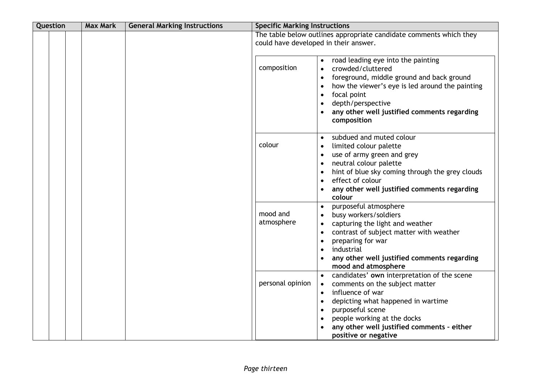| Question | <b>Max Mark</b> | <b>General Marking Instructions</b> | <b>Specific Marking Instructions</b> |                                                                                                                                                                                                                                                                                                                                                      |
|----------|-----------------|-------------------------------------|--------------------------------------|------------------------------------------------------------------------------------------------------------------------------------------------------------------------------------------------------------------------------------------------------------------------------------------------------------------------------------------------------|
|          |                 |                                     |                                      | The table below outlines appropriate candidate comments which they<br>could have developed in their answer.                                                                                                                                                                                                                                          |
|          |                 |                                     | composition                          | road leading eye into the painting<br>$\bullet$<br>crowded/cluttered<br>$\bullet$<br>foreground, middle ground and back ground<br>$\bullet$<br>how the viewer's eye is led around the painting<br>$\bullet$<br>focal point<br>$\bullet$<br>depth/perspective<br>$\bullet$<br>any other well justified comments regarding<br>$\bullet$<br>composition |
|          |                 |                                     | colour                               | subdued and muted colour<br>$\bullet$<br>limited colour palette<br>$\bullet$<br>use of army green and grey<br>$\bullet$<br>neutral colour palette<br>$\bullet$<br>hint of blue sky coming through the grey clouds<br>$\bullet$<br>effect of colour<br>$\bullet$<br>any other well justified comments regarding<br>colour                             |
|          |                 |                                     | mood and<br>atmosphere               | purposeful atmosphere<br>$\bullet$<br>busy workers/soldiers<br>$\bullet$<br>capturing the light and weather<br>$\bullet$<br>contrast of subject matter with weather<br>$\bullet$<br>preparing for war<br>$\bullet$<br>industrial<br>$\bullet$<br>any other well justified comments regarding<br>mood and atmosphere                                  |
|          |                 |                                     | personal opinion                     | candidates' own interpretation of the scene<br>comments on the subject matter<br>$\bullet$<br>influence of war<br>$\bullet$<br>depicting what happened in wartime<br>$\bullet$<br>purposeful scene<br>$\bullet$<br>people working at the docks<br>$\bullet$<br>any other well justified comments - either<br>positive or negative                    |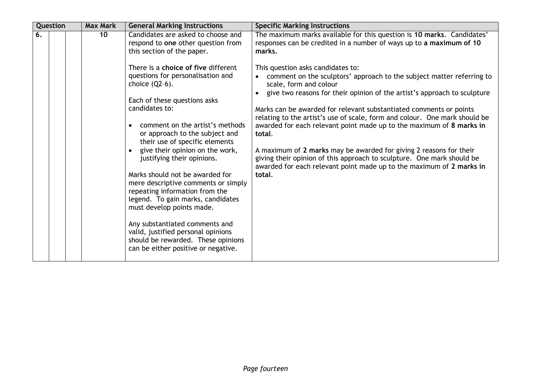| Question | <b>Max Mark</b> | <b>General Marking Instructions</b>                                                                                                                                                                                                                                                                                                                                                                                                                                                                                                                                                                             | <b>Specific Marking Instructions</b>                                                                                                                                                                                                                                                                                                                                                                                                                                                                                                                                                                                                                                                                                                                                                                                                                |
|----------|-----------------|-----------------------------------------------------------------------------------------------------------------------------------------------------------------------------------------------------------------------------------------------------------------------------------------------------------------------------------------------------------------------------------------------------------------------------------------------------------------------------------------------------------------------------------------------------------------------------------------------------------------|-----------------------------------------------------------------------------------------------------------------------------------------------------------------------------------------------------------------------------------------------------------------------------------------------------------------------------------------------------------------------------------------------------------------------------------------------------------------------------------------------------------------------------------------------------------------------------------------------------------------------------------------------------------------------------------------------------------------------------------------------------------------------------------------------------------------------------------------------------|
| 6.       | 10              | Candidates are asked to choose and<br>respond to one other question from<br>this section of the paper.<br>There is a choice of five different<br>questions for personalisation and<br>choice $(Q2-6)$ .<br>Each of these questions asks<br>candidates to:<br>comment on the artist's methods<br>or approach to the subject and<br>their use of specific elements<br>give their opinion on the work,<br>justifying their opinions.<br>Marks should not be awarded for<br>mere descriptive comments or simply<br>repeating information from the<br>legend. To gain marks, candidates<br>must develop points made. | The maximum marks available for this question is 10 marks. Candidates'<br>responses can be credited in a number of ways up to a maximum of 10<br>marks.<br>This question asks candidates to:<br>comment on the sculptors' approach to the subject matter referring to<br>scale, form and colour<br>give two reasons for their opinion of the artist's approach to sculpture<br>Marks can be awarded for relevant substantiated comments or points<br>relating to the artist's use of scale, form and colour. One mark should be<br>awarded for each relevant point made up to the maximum of 8 marks in<br>total.<br>A maximum of 2 marks may be awarded for giving 2 reasons for their<br>giving their opinion of this approach to sculpture. One mark should be<br>awarded for each relevant point made up to the maximum of 2 marks in<br>total. |
|          |                 | Any substantiated comments and<br>valid, justified personal opinions<br>should be rewarded. These opinions<br>can be either positive or negative.                                                                                                                                                                                                                                                                                                                                                                                                                                                               |                                                                                                                                                                                                                                                                                                                                                                                                                                                                                                                                                                                                                                                                                                                                                                                                                                                     |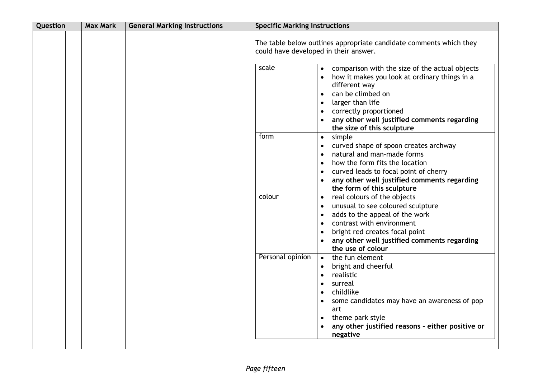| Question | <b>Max Mark</b> | <b>General Marking Instructions</b> | <b>Specific Marking Instructions</b>  |                                                                                                                                                                                                                                                                                                                      |
|----------|-----------------|-------------------------------------|---------------------------------------|----------------------------------------------------------------------------------------------------------------------------------------------------------------------------------------------------------------------------------------------------------------------------------------------------------------------|
|          |                 |                                     | could have developed in their answer. | The table below outlines appropriate candidate comments which they                                                                                                                                                                                                                                                   |
|          |                 |                                     | scale                                 | comparison with the size of the actual objects<br>$\bullet$<br>how it makes you look at ordinary things in a<br>different way<br>can be climbed on<br>$\bullet$<br>larger than life<br>$\bullet$<br>correctly proportioned<br>$\bullet$<br>any other well justified comments regarding<br>the size of this sculpture |
|          |                 |                                     | form                                  | simple<br>$\bullet$<br>curved shape of spoon creates archway<br>$\bullet$<br>natural and man-made forms<br>$\bullet$<br>how the form fits the location<br>$\bullet$<br>curved leads to focal point of cherry<br>$\bullet$<br>any other well justified comments regarding<br>the form of this sculpture               |
|          |                 |                                     | colour                                | real colours of the objects<br>$\bullet$<br>unusual to see coloured sculpture<br>$\bullet$<br>adds to the appeal of the work<br>$\bullet$<br>contrast with environment<br>$\bullet$<br>bright red creates focal point<br>$\bullet$<br>any other well justified comments regarding<br>the use of colour               |
|          |                 |                                     | Personal opinion                      | the fun element<br>$\bullet$<br>bright and cheerful<br>$\bullet$<br>realistic<br>$\bullet$<br>surreal<br>$\bullet$<br>childlike<br>$\bullet$<br>some candidates may have an awareness of pop<br>art<br>theme park style<br>$\bullet$<br>any other justified reasons - either positive or<br>$\bullet$<br>negative    |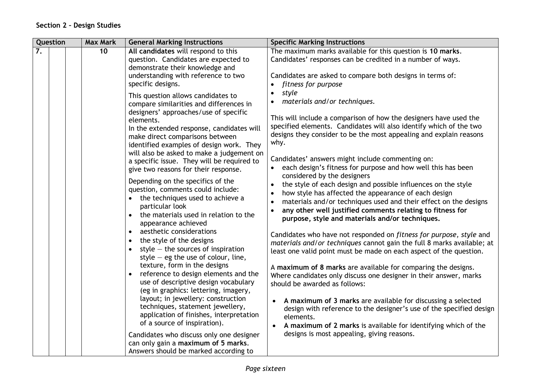| Question<br><b>Max Mark</b><br><b>General Marking Instructions</b>                                                                                                                                                                                                                                                                                                                                                                                                                                                                                                                                                                                                                                                                                                            | <b>Specific Marking Instructions</b>                                                                                                                                                                                                                                                                                                                                                                                                                                                                                                                                                                                                                                                                                                                                                                                                                                                                                                                                                                                                                           |
|-------------------------------------------------------------------------------------------------------------------------------------------------------------------------------------------------------------------------------------------------------------------------------------------------------------------------------------------------------------------------------------------------------------------------------------------------------------------------------------------------------------------------------------------------------------------------------------------------------------------------------------------------------------------------------------------------------------------------------------------------------------------------------|----------------------------------------------------------------------------------------------------------------------------------------------------------------------------------------------------------------------------------------------------------------------------------------------------------------------------------------------------------------------------------------------------------------------------------------------------------------------------------------------------------------------------------------------------------------------------------------------------------------------------------------------------------------------------------------------------------------------------------------------------------------------------------------------------------------------------------------------------------------------------------------------------------------------------------------------------------------------------------------------------------------------------------------------------------------|
| 7.<br>10<br>All candidates will respond to this<br>question. Candidates are expected to<br>demonstrate their knowledge and<br>understanding with reference to two<br>specific designs.<br>This question allows candidates to<br>compare similarities and differences in                                                                                                                                                                                                                                                                                                                                                                                                                                                                                                       | The maximum marks available for this question is 10 marks.<br>Candidates' responses can be credited in a number of ways.<br>Candidates are asked to compare both designs in terms of:<br>fitness for purpose<br>style<br>materials and/or techniques.                                                                                                                                                                                                                                                                                                                                                                                                                                                                                                                                                                                                                                                                                                                                                                                                          |
| designers' approaches/use of specific<br>elements.<br>In the extended response, candidates will<br>make direct comparisons between<br>identified examples of design work. They<br>will also be asked to make a judgement on<br>a specific issue. They will be required to<br>give two reasons for their response.                                                                                                                                                                                                                                                                                                                                                                                                                                                             | This will include a comparison of how the designers have used the<br>specified elements. Candidates will also identify which of the two<br>designs they consider to be the most appealing and explain reasons<br>why.<br>Candidates' answers might include commenting on:<br>each design's fitness for purpose and how well this has been                                                                                                                                                                                                                                                                                                                                                                                                                                                                                                                                                                                                                                                                                                                      |
| Depending on the specifics of the<br>question, comments could include:<br>the techniques used to achieve a<br>particular look<br>the materials used in relation to the<br>$\bullet$<br>appearance achieved<br>aesthetic considerations<br>$\bullet$<br>the style of the designs<br>$\bullet$<br>style $-$ the sources of inspiration<br>style $-$ eg the use of colour, line,<br>texture, form in the designs<br>reference to design elements and the<br>use of descriptive design vocabulary<br>(eg in graphics: lettering, imagery,<br>layout; in jewellery: construction<br>techniques, statement jewellery,<br>application of finishes, interpretation<br>of a source of inspiration).<br>Candidates who discuss only one designer<br>can only gain a maximum of 5 marks. | considered by the designers<br>the style of each design and possible influences on the style<br>$\bullet$<br>how style has affected the appearance of each design<br>$\bullet$<br>materials and/or techniques used and their effect on the designs<br>$\bullet$<br>any other well justified comments relating to fitness for<br>$\bullet$<br>purpose, style and materials and/or techniques.<br>Candidates who have not responded on fitness for purpose, style and<br>materials and/or techniques cannot gain the full 8 marks available; at<br>least one valid point must be made on each aspect of the question.<br>A maximum of 8 marks are available for comparing the designs.<br>Where candidates only discuss one designer in their answer, marks<br>should be awarded as follows:<br>A maximum of 3 marks are available for discussing a selected<br>design with reference to the designer's use of the specified design<br>elements.<br>A maximum of 2 marks is available for identifying which of the<br>designs is most appealing, giving reasons. |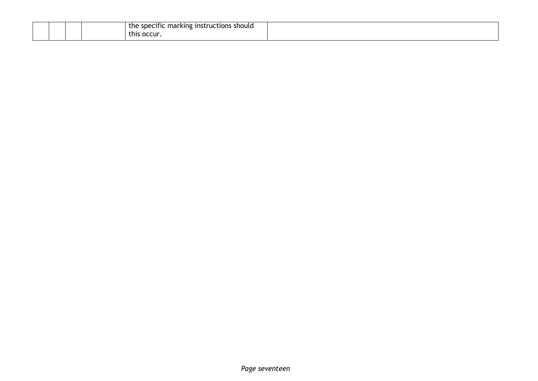|  |  | instructions should י<br>e specific marking :<br>the<br>. .<br>occur.<br>this. |  |
|--|--|--------------------------------------------------------------------------------|--|
|  |  |                                                                                |  |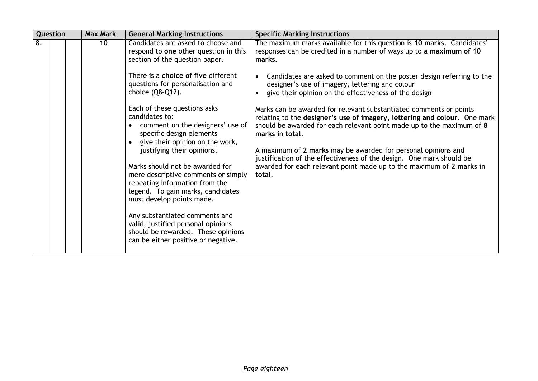| Question | <b>Max Mark</b> | <b>General Marking Instructions</b>                                                                                                                                                                                                                                                                                                                                                                                                                                                                                                                                                                                                                                                                                                    | <b>Specific Marking Instructions</b>                                                                                                                                                                                                                                                                                                                                                                                                                                                                                                                                                                                                                                                                                                                                                                                   |
|----------|-----------------|----------------------------------------------------------------------------------------------------------------------------------------------------------------------------------------------------------------------------------------------------------------------------------------------------------------------------------------------------------------------------------------------------------------------------------------------------------------------------------------------------------------------------------------------------------------------------------------------------------------------------------------------------------------------------------------------------------------------------------------|------------------------------------------------------------------------------------------------------------------------------------------------------------------------------------------------------------------------------------------------------------------------------------------------------------------------------------------------------------------------------------------------------------------------------------------------------------------------------------------------------------------------------------------------------------------------------------------------------------------------------------------------------------------------------------------------------------------------------------------------------------------------------------------------------------------------|
| 8.       | 10 <sup>°</sup> | Candidates are asked to choose and<br>respond to one other question in this<br>section of the question paper.<br>There is a choice of five different<br>questions for personalisation and<br>choice $(Q8-Q12)$ .<br>Each of these questions asks<br>candidates to:<br>comment on the designers' use of<br>specific design elements<br>give their opinion on the work,<br>justifying their opinions.<br>Marks should not be awarded for<br>mere descriptive comments or simply<br>repeating information from the<br>legend. To gain marks, candidates<br>must develop points made.<br>Any substantiated comments and<br>valid, justified personal opinions<br>should be rewarded. These opinions<br>can be either positive or negative. | The maximum marks available for this question is 10 marks. Candidates'<br>responses can be credited in a number of ways up to a maximum of 10<br>marks.<br>Candidates are asked to comment on the poster design referring to the<br>designer's use of imagery, lettering and colour<br>give their opinion on the effectiveness of the design<br>Marks can be awarded for relevant substantiated comments or points<br>relating to the designer's use of imagery, lettering and colour. One mark<br>should be awarded for each relevant point made up to the maximum of 8<br>marks in total.<br>A maximum of 2 marks may be awarded for personal opinions and<br>justification of the effectiveness of the design. One mark should be<br>awarded for each relevant point made up to the maximum of 2 marks in<br>total. |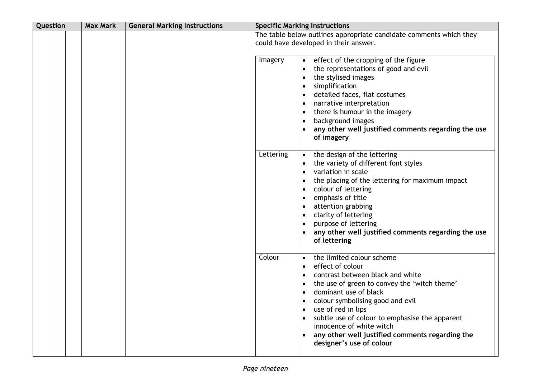| Question | <b>Max Mark</b> | <b>General Marking Instructions</b> | <b>Specific Marking Instructions</b>                                                                                                                                                                                                                                                                                                                                                                                                                                      |                                                     |
|----------|-----------------|-------------------------------------|---------------------------------------------------------------------------------------------------------------------------------------------------------------------------------------------------------------------------------------------------------------------------------------------------------------------------------------------------------------------------------------------------------------------------------------------------------------------------|-----------------------------------------------------|
|          |                 |                                     | The table below outlines appropriate candidate comments which they<br>could have developed in their answer.                                                                                                                                                                                                                                                                                                                                                               |                                                     |
|          |                 |                                     | Imagery<br>effect of the cropping of the figure<br>$\bullet$<br>the representations of good and evil<br>$\bullet$<br>the stylised images<br>$\bullet$<br>simplification<br>$\bullet$<br>detailed faces, flat costumes<br>$\bullet$<br>narrative interpretation<br>$\bullet$<br>there is humour in the imagery<br>$\bullet$<br>background images<br>$\bullet$<br>of imagery                                                                                                | any other well justified comments regarding the use |
|          |                 |                                     | Lettering<br>the design of the lettering<br>the variety of different font styles<br>variation in scale<br>$\bullet$<br>the placing of the lettering for maximum impact<br>$\bullet$<br>colour of lettering<br>$\bullet$<br>emphasis of title<br>$\bullet$<br>attention grabbing<br>$\bullet$<br>clarity of lettering<br>$\bullet$<br>purpose of lettering<br>$\bullet$<br>of lettering                                                                                    | any other well justified comments regarding the use |
|          |                 |                                     | Colour<br>the limited colour scheme<br>$\bullet$<br>effect of colour<br>contrast between black and white<br>the use of green to convey the 'witch theme'<br>$\bullet$<br>dominant use of black<br>$\bullet$<br>colour symbolising good and evil<br>$\bullet$<br>use of red in lips<br>$\bullet$<br>subtle use of colour to emphasise the apparent<br>$\bullet$<br>innocence of white witch<br>any other well justified comments regarding the<br>designer's use of colour |                                                     |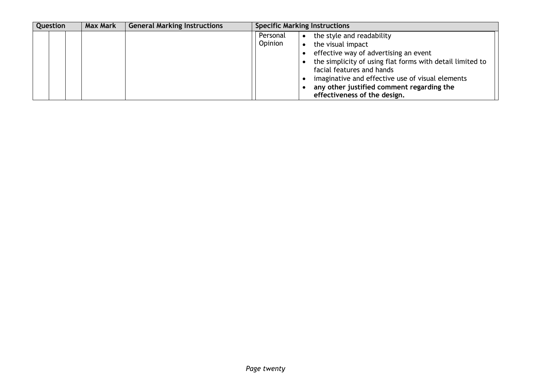| Question | <b>Max Mark</b> | <b>General Marking Instructions</b> |                     | <b>Specific Marking Instructions</b>                                                                                                                                                                                                                                                                               |  |
|----------|-----------------|-------------------------------------|---------------------|--------------------------------------------------------------------------------------------------------------------------------------------------------------------------------------------------------------------------------------------------------------------------------------------------------------------|--|
|          |                 |                                     | Personal<br>Opinion | the style and readability<br>the visual impact<br>effective way of advertising an event<br>the simplicity of using flat forms with detail limited to<br>facial features and hands<br>imaginative and effective use of visual elements<br>any other justified comment regarding the<br>effectiveness of the design. |  |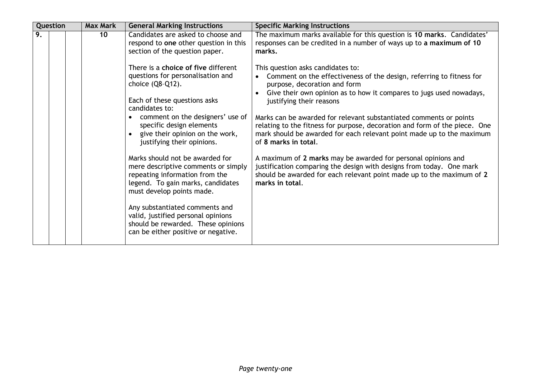| Question | <b>Max Mark</b> | <b>General Marking Instructions</b>                                                                                                                                                                                                                                                                                                                                                                                                                                                                                                                                                                                  | <b>Specific Marking Instructions</b>                                                                                                                                                                                                                                                                                                                                                                                                                                                                                                                                                                                                                                                                                                   |
|----------|-----------------|----------------------------------------------------------------------------------------------------------------------------------------------------------------------------------------------------------------------------------------------------------------------------------------------------------------------------------------------------------------------------------------------------------------------------------------------------------------------------------------------------------------------------------------------------------------------------------------------------------------------|----------------------------------------------------------------------------------------------------------------------------------------------------------------------------------------------------------------------------------------------------------------------------------------------------------------------------------------------------------------------------------------------------------------------------------------------------------------------------------------------------------------------------------------------------------------------------------------------------------------------------------------------------------------------------------------------------------------------------------------|
| 9.       | 10              | Candidates are asked to choose and<br>respond to one other question in this<br>section of the question paper.                                                                                                                                                                                                                                                                                                                                                                                                                                                                                                        | The maximum marks available for this question is 10 marks. Candidates'<br>responses can be credited in a number of ways up to a maximum of 10<br>marks.                                                                                                                                                                                                                                                                                                                                                                                                                                                                                                                                                                                |
|          |                 | There is a choice of five different<br>questions for personalisation and<br>choice (Q8-Q12).<br>Each of these questions asks<br>candidates to:<br>comment on the designers' use of<br>specific design elements<br>• give their opinion on the work,<br>justifying their opinions.<br>Marks should not be awarded for<br>mere descriptive comments or simply<br>repeating information from the<br>legend. To gain marks, candidates<br>must develop points made.<br>Any substantiated comments and<br>valid, justified personal opinions<br>should be rewarded. These opinions<br>can be either positive or negative. | This question asks candidates to:<br>Comment on the effectiveness of the design, referring to fitness for<br>purpose, decoration and form<br>Give their own opinion as to how it compares to jugs used nowadays,<br>justifying their reasons<br>Marks can be awarded for relevant substantiated comments or points<br>relating to the fitness for purpose, decoration and form of the piece. One<br>mark should be awarded for each relevant point made up to the maximum<br>of 8 marks in total.<br>A maximum of 2 marks may be awarded for personal opinions and<br>justification comparing the design with designs from today. One mark<br>should be awarded for each relevant point made up to the maximum of 2<br>marks in total. |
|          |                 |                                                                                                                                                                                                                                                                                                                                                                                                                                                                                                                                                                                                                      |                                                                                                                                                                                                                                                                                                                                                                                                                                                                                                                                                                                                                                                                                                                                        |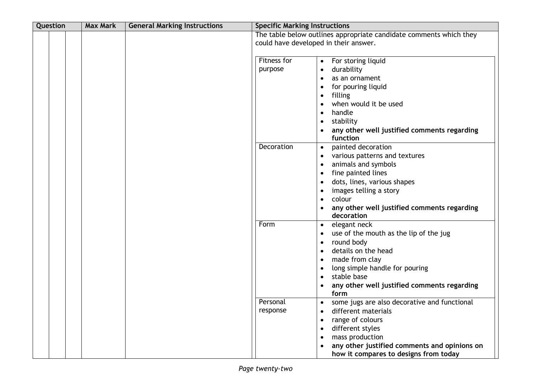| Question | <b>Max Mark</b> | <b>General Marking Instructions</b> | <b>Specific Marking Instructions</b> |                                                                                                                                                                                                                                                                                                                               |
|----------|-----------------|-------------------------------------|--------------------------------------|-------------------------------------------------------------------------------------------------------------------------------------------------------------------------------------------------------------------------------------------------------------------------------------------------------------------------------|
|          |                 |                                     |                                      | The table below outlines appropriate candidate comments which they<br>could have developed in their answer.                                                                                                                                                                                                                   |
|          |                 |                                     | Fitness for<br>purpose               | For storing liquid<br>$\bullet$<br>durability<br>$\bullet$<br>as an ornament<br>$\bullet$<br>for pouring liquid<br>$\bullet$<br>filling<br>$\bullet$<br>when would it be used<br>$\bullet$<br>handle<br>$\bullet$<br>stability<br>$\bullet$<br>any other well justified comments regarding<br>$\bullet$<br>function           |
|          |                 |                                     | Decoration                           | painted decoration<br>$\bullet$<br>various patterns and textures<br>$\bullet$<br>animals and symbols<br>$\bullet$<br>fine painted lines<br>$\bullet$<br>dots, lines, various shapes<br>$\bullet$<br>images telling a story<br>colour<br>$\bullet$<br>any other well justified comments regarding<br>decoration                |
|          |                 |                                     | Form                                 | elegant neck<br>$\bullet$<br>use of the mouth as the lip of the jug<br>$\bullet$<br>round body<br>$\bullet$<br>details on the head<br>$\bullet$<br>made from clay<br>$\bullet$<br>long simple handle for pouring<br>$\bullet$<br>stable base<br>$\bullet$<br>any other well justified comments regarding<br>$\bullet$<br>form |
|          |                 |                                     | Personal<br>response                 | some jugs are also decorative and functional<br>$\bullet$<br>different materials<br>٠<br>range of colours<br>$\bullet$<br>different styles<br>$\bullet$<br>mass production<br>$\bullet$<br>any other justified comments and opinions on<br>$\bullet$<br>how it compares to designs from today                                 |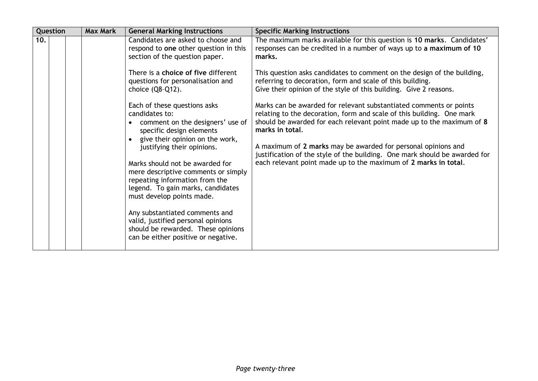| Question | <b>Max Mark</b> | <b>General Marking Instructions</b>                                                                                                                                                                                                                                                                                                                                                                                                                                                                                                                                                                                                                                                                                                   | <b>Specific Marking Instructions</b>                                                                                                                                                                                                                                                                                                                                                                                                                                                                                                                                                                                                                                                                                                                                                                                              |
|----------|-----------------|---------------------------------------------------------------------------------------------------------------------------------------------------------------------------------------------------------------------------------------------------------------------------------------------------------------------------------------------------------------------------------------------------------------------------------------------------------------------------------------------------------------------------------------------------------------------------------------------------------------------------------------------------------------------------------------------------------------------------------------|-----------------------------------------------------------------------------------------------------------------------------------------------------------------------------------------------------------------------------------------------------------------------------------------------------------------------------------------------------------------------------------------------------------------------------------------------------------------------------------------------------------------------------------------------------------------------------------------------------------------------------------------------------------------------------------------------------------------------------------------------------------------------------------------------------------------------------------|
| 10.      |                 | Candidates are asked to choose and<br>respond to one other question in this<br>section of the question paper.<br>There is a choice of five different<br>questions for personalisation and<br>choice (Q8-Q12).<br>Each of these questions asks<br>candidates to:<br>comment on the designers' use of<br>specific design elements<br>• give their opinion on the work,<br>justifying their opinions.<br>Marks should not be awarded for<br>mere descriptive comments or simply<br>repeating information from the<br>legend. To gain marks, candidates<br>must develop points made.<br>Any substantiated comments and<br>valid, justified personal opinions<br>should be rewarded. These opinions<br>can be either positive or negative. | The maximum marks available for this question is 10 marks. Candidates'<br>responses can be credited in a number of ways up to a maximum of 10<br>marks.<br>This question asks candidates to comment on the design of the building,<br>referring to decoration, form and scale of this building.<br>Give their opinion of the style of this building. Give 2 reasons.<br>Marks can be awarded for relevant substantiated comments or points<br>relating to the decoration, form and scale of this building. One mark<br>should be awarded for each relevant point made up to the maximum of 8<br>marks in total.<br>A maximum of 2 marks may be awarded for personal opinions and<br>justification of the style of the building. One mark should be awarded for<br>each relevant point made up to the maximum of 2 marks in total. |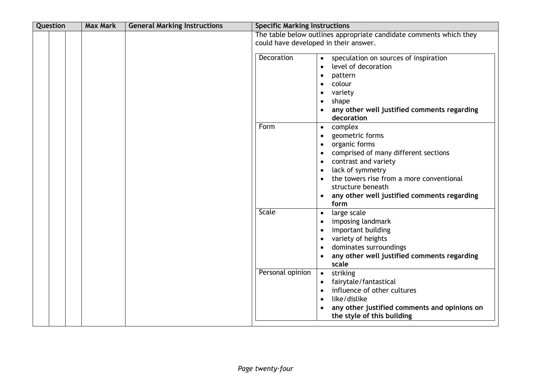| Question | <b>Max Mark</b> | <b>General Marking Instructions</b> | <b>Specific Marking Instructions</b>  |                                                                                                                                                                                                                                                                                                                                                                  |
|----------|-----------------|-------------------------------------|---------------------------------------|------------------------------------------------------------------------------------------------------------------------------------------------------------------------------------------------------------------------------------------------------------------------------------------------------------------------------------------------------------------|
|          |                 |                                     | could have developed in their answer. | The table below outlines appropriate candidate comments which they                                                                                                                                                                                                                                                                                               |
|          |                 |                                     | Decoration                            | speculation on sources of inspiration<br>$\bullet$<br>level of decoration<br>$\bullet$<br>pattern<br>$\bullet$<br>colour<br>$\bullet$<br>variety<br>$\bullet$<br>shape<br>$\bullet$<br>any other well justified comments regarding                                                                                                                               |
|          |                 |                                     | Form                                  | decoration<br>complex<br>$\bullet$<br>geometric forms<br>$\bullet$<br>organic forms<br>$\bullet$<br>comprised of many different sections<br>$\bullet$<br>contrast and variety<br>$\bullet$<br>lack of symmetry<br>$\bullet$<br>the towers rise from a more conventional<br>structure beneath<br>any other well justified comments regarding<br>$\bullet$<br>form |
|          |                 |                                     | Scale                                 | large scale<br>$\bullet$<br>imposing landmark<br>$\bullet$<br>important building<br>$\bullet$<br>variety of heights<br>$\bullet$<br>dominates surroundings<br>$\bullet$<br>any other well justified comments regarding<br>scale                                                                                                                                  |
|          |                 |                                     | Personal opinion                      | striking<br>$\bullet$<br>fairytale/fantastical<br>$\bullet$<br>influence of other cultures<br>$\bullet$<br>like/dislike<br>$\bullet$<br>any other justified comments and opinions on<br>$\bullet$<br>the style of this building                                                                                                                                  |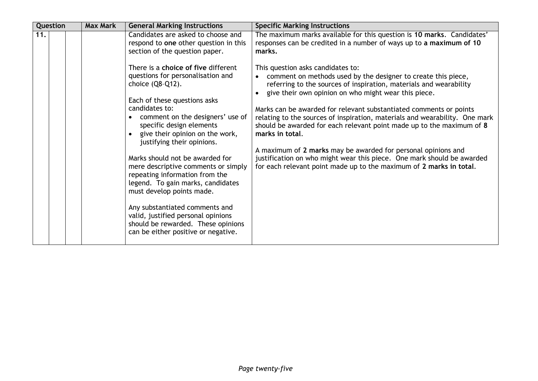| Question | <b>Max Mark</b> | <b>General Marking Instructions</b>                                                                                                                                                                                                                                                                                                                                                                | <b>Specific Marking Instructions</b>                                                                                                                                                                                                                                                                                                                                                                                                                                                                                                                                                                                                                      |
|----------|-----------------|----------------------------------------------------------------------------------------------------------------------------------------------------------------------------------------------------------------------------------------------------------------------------------------------------------------------------------------------------------------------------------------------------|-----------------------------------------------------------------------------------------------------------------------------------------------------------------------------------------------------------------------------------------------------------------------------------------------------------------------------------------------------------------------------------------------------------------------------------------------------------------------------------------------------------------------------------------------------------------------------------------------------------------------------------------------------------|
| 11.      |                 | Candidates are asked to choose and<br>respond to one other question in this<br>section of the question paper.<br>There is a choice of five different<br>questions for personalisation and<br>choice (Q8-Q12).<br>Each of these questions asks<br>candidates to:<br>comment on the designers' use of<br>specific design elements<br>• give their opinion on the work,<br>justifying their opinions. | The maximum marks available for this question is 10 marks. Candidates'<br>responses can be credited in a number of ways up to a maximum of 10<br>marks.<br>This question asks candidates to:<br>comment on methods used by the designer to create this piece,<br>$\bullet$<br>referring to the sources of inspiration, materials and wearability<br>give their own opinion on who might wear this piece.<br>Marks can be awarded for relevant substantiated comments or points<br>relating to the sources of inspiration, materials and wearability. One mark<br>should be awarded for each relevant point made up to the maximum of 8<br>marks in total. |
|          |                 | Marks should not be awarded for<br>mere descriptive comments or simply<br>repeating information from the<br>legend. To gain marks, candidates<br>must develop points made.<br>Any substantiated comments and<br>valid, justified personal opinions<br>should be rewarded. These opinions<br>can be either positive or negative.                                                                    | A maximum of 2 marks may be awarded for personal opinions and<br>justification on who might wear this piece. One mark should be awarded<br>for each relevant point made up to the maximum of 2 marks in total.                                                                                                                                                                                                                                                                                                                                                                                                                                            |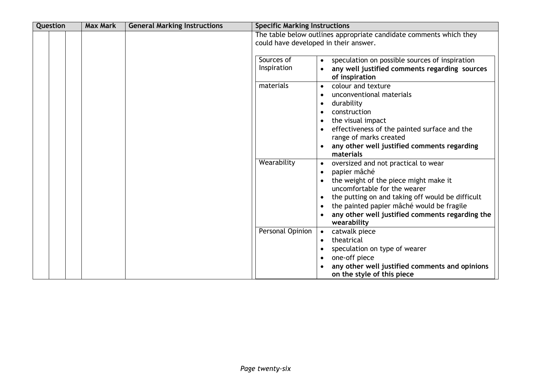| Question | <b>Max Mark</b> | <b>General Marking Instructions</b> | <b>Specific Marking Instructions</b>  |                                                                                                                                                                                                                                                                                                                                                     |
|----------|-----------------|-------------------------------------|---------------------------------------|-----------------------------------------------------------------------------------------------------------------------------------------------------------------------------------------------------------------------------------------------------------------------------------------------------------------------------------------------------|
|          |                 |                                     | could have developed in their answer. | The table below outlines appropriate candidate comments which they                                                                                                                                                                                                                                                                                  |
|          |                 |                                     | Sources of<br>Inspiration             | speculation on possible sources of inspiration<br>$\bullet$<br>any well justified comments regarding sources<br>of inspiration                                                                                                                                                                                                                      |
|          |                 |                                     | materials                             | colour and texture<br>$\bullet$<br>unconventional materials<br>$\bullet$<br>durability<br>$\bullet$<br>construction<br>$\bullet$<br>the visual impact<br>$\bullet$<br>effectiveness of the painted surface and the<br>$\bullet$<br>range of marks created<br>any other well justified comments regarding<br>materials                               |
|          |                 |                                     | Wearability                           | oversized and not practical to wear<br>$\bullet$<br>papier mâché<br>$\bullet$<br>the weight of the piece might make it<br>uncomfortable for the wearer<br>the putting on and taking off would be difficult<br>$\bullet$<br>the painted papier mâché would be fragile<br>$\bullet$<br>any other well justified comments regarding the<br>wearability |
|          |                 |                                     | Personal Opinion                      | catwalk piece<br>$\bullet$<br>theatrical<br>$\bullet$<br>speculation on type of wearer<br>one-off piece<br>$\bullet$<br>any other well justified comments and opinions<br>on the style of this piece                                                                                                                                                |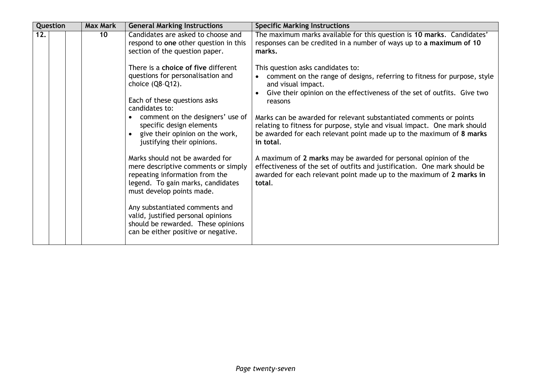| Question | <b>Max Mark</b> | <b>General Marking Instructions</b>                                                                                                                                        | <b>Specific Marking Instructions</b>                                                                                                                                                                                                 |
|----------|-----------------|----------------------------------------------------------------------------------------------------------------------------------------------------------------------------|--------------------------------------------------------------------------------------------------------------------------------------------------------------------------------------------------------------------------------------|
| 12.      | 10              | Candidates are asked to choose and<br>respond to one other question in this<br>section of the question paper.                                                              | The maximum marks available for this question is 10 marks. Candidates'<br>responses can be credited in a number of ways up to a maximum of 10<br>marks.                                                                              |
|          |                 | There is a choice of five different<br>questions for personalisation and<br>choice (Q8-Q12).                                                                               | This question asks candidates to:<br>comment on the range of designs, referring to fitness for purpose, style<br>and visual impact.<br>Give their opinion on the effectiveness of the set of outfits. Give two                       |
|          |                 | Each of these questions asks<br>candidates to:                                                                                                                             | reasons                                                                                                                                                                                                                              |
|          |                 | comment on the designers' use of<br>specific design elements<br>• give their opinion on the work,<br>justifying their opinions.                                            | Marks can be awarded for relevant substantiated comments or points<br>relating to fitness for purpose, style and visual impact. One mark should<br>be awarded for each relevant point made up to the maximum of 8 marks<br>in total. |
|          |                 | Marks should not be awarded for<br>mere descriptive comments or simply<br>repeating information from the<br>legend. To gain marks, candidates<br>must develop points made. | A maximum of 2 marks may be awarded for personal opinion of the<br>effectiveness of the set of outfits and justification. One mark should be<br>awarded for each relevant point made up to the maximum of 2 marks in<br>total.       |
|          |                 | Any substantiated comments and<br>valid, justified personal opinions<br>should be rewarded. These opinions<br>can be either positive or negative.                          |                                                                                                                                                                                                                                      |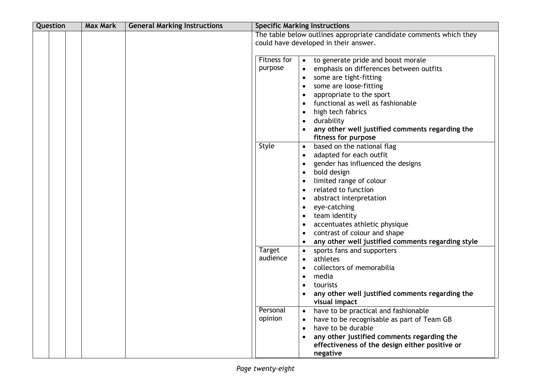| Question | <b>Max Mark</b> | <b>General Marking Instructions</b> | <b>Specific Marking Instructions</b>                                                                                                                                                                                                                                                                                                                                                                                                                                                                      |
|----------|-----------------|-------------------------------------|-----------------------------------------------------------------------------------------------------------------------------------------------------------------------------------------------------------------------------------------------------------------------------------------------------------------------------------------------------------------------------------------------------------------------------------------------------------------------------------------------------------|
|          |                 |                                     | The table below outlines appropriate candidate comments which they<br>could have developed in their answer.                                                                                                                                                                                                                                                                                                                                                                                               |
|          |                 |                                     | Fitness for<br>to generate pride and boost morale<br>$\bullet$<br>purpose<br>emphasis on differences between outfits<br>some are tight-fitting<br>$\bullet$<br>some are loose-fitting<br>appropriate to the sport<br>functional as well as fashionable<br>high tech fabrics<br>$\bullet$<br>durability<br>any other well justified comments regarding the<br>fitness for purpose                                                                                                                          |
|          |                 |                                     | Style<br>based on the national flag<br>$\bullet$<br>adapted for each outfit<br>gender has influenced the designs<br>bold design<br>$\bullet$<br>limited range of colour<br>related to function<br>abstract interpretation<br>eye-catching<br>$\bullet$<br>team identity<br>accentuates athletic physique<br>contrast of colour and shape<br>any other well justified comments regarding style                                                                                                             |
|          |                 |                                     | <b>Target</b><br>sports fans and supporters<br>$\bullet$<br>audience<br>athletes<br>collectors of memorabilia<br>$\bullet$<br>media<br>$\bullet$<br>tourists<br>$\bullet$<br>any other well justified comments regarding the<br>visual impact<br>Personal<br>have to be practical and fashionable<br>opinion<br>have to be recognisable as part of Team GB<br>have to be durable<br>$\bullet$<br>any other justified comments regarding the<br>effectiveness of the design either positive or<br>negative |